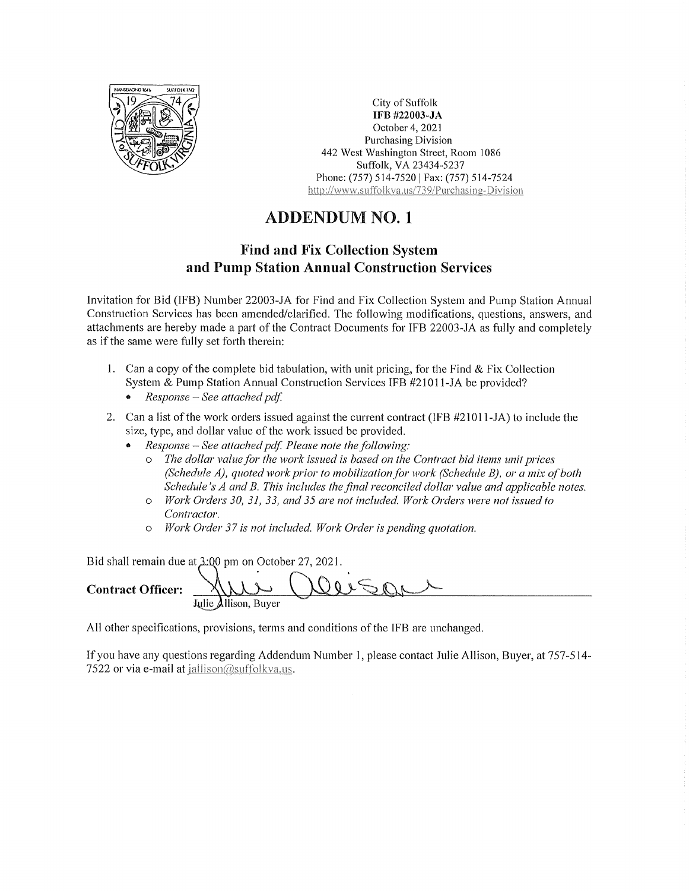

City of Suffolk IFB #22003-JA October 4, 2021 **Purchasing Division** 442 West Washington Street, Room 1086 Suffolk, VA 23434-5237 Phone: (757) 514-7520 | Fax: (757) 514-7524 http://www.suffolkva.us/739/Purchasing-Division

## **ADDENDUM NO. 1**

## **Find and Fix Collection System** and Pump Station Annual Construction Services

Invitation for Bid (IFB) Number 22003-JA for Find and Fix Collection System and Pump Station Annual Construction Services has been amended/clarified. The following modifications, questions, answers, and attachments are hereby made a part of the Contract Documents for IFB 22003-JA as fully and completely as if the same were fully set forth therein:

- 1. Can a copy of the complete bid tabulation, with unit pricing, for the Find & Fix Collection System & Pump Station Annual Construction Services IFB #21011-JA be provided?
	- Response See attached pdf.
- 2. Can a list of the work orders issued against the current contract (IFB #21011-JA) to include the size, type, and dollar value of the work issued be provided.
	- Response See attached pdf. Please note the following:
		- The dollar value for the work issued is based on the Contract bid items unit prices  $\Omega$ (Schedule A), quoted work prior to mobilization for work (Schedule B), or a mix of both Schedule's A and B. This includes the final reconciled dollar value and applicable notes.
		- $\circ$ Work Orders 30, 31, 33, and 35 are not included. Work Orders were not issued to Contractor.
		- Work Order 37 is not included. Work Order is pending quotation.  $\circ$

Bid shall remain due at 3:00 pm on October 27, 2021.

**Contract Officer:** 

All other specifications, provisions, terms and conditions of the IFB are unchanged.

If you have any questions regarding Addendum Number 1, please contact Julie Allison, Buyer, at 757-514-7522 or via e-mail at jallison@suffolkva.us.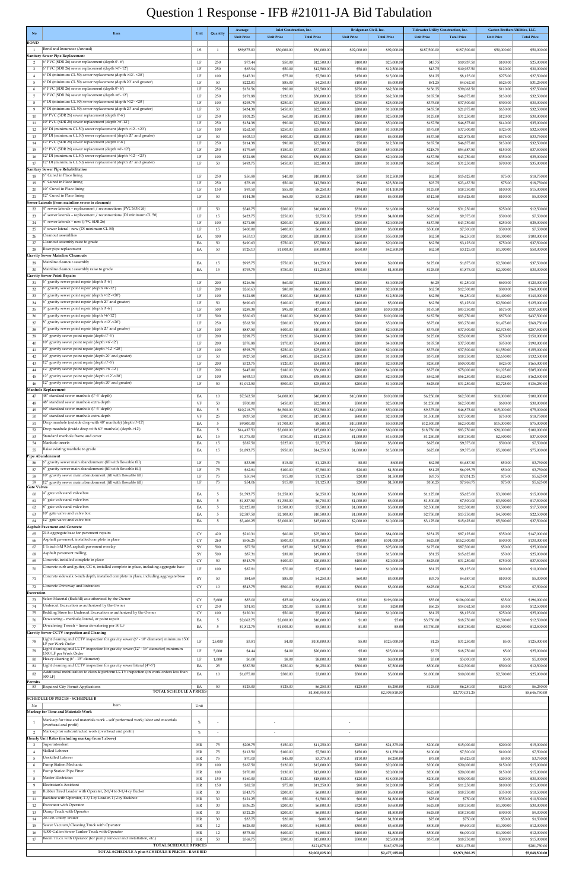| No                             | Item                                                                                                                                                         | Unit            | Quantity              | Average<br><b>Unit Price</b> | <b>Inlet Construction, Inc.</b><br><b>Unit Price</b> | <b>Total Price</b>          | <b>Unit Price</b>        | Bridgeman Civil, Inc.<br><b>Total Price</b> | Tidewater Utility Construction, Inc.<br><b>Unit Price</b> | <b>Total Price</b>          | Gaston Brothers Utilities, LLC.<br><b>Unit Price</b> | <b>Total Price</b>           |
|--------------------------------|--------------------------------------------------------------------------------------------------------------------------------------------------------------|-----------------|-----------------------|------------------------------|------------------------------------------------------|-----------------------------|--------------------------|---------------------------------------------|-----------------------------------------------------------|-----------------------------|------------------------------------------------------|------------------------------|
| <b>BOND</b><br>1               | Bond and Insurance (Annual)                                                                                                                                  | LS              | <sup>1</sup>          | \$89,875.00                  | \$30,000.00                                          | \$30,000.00                 | \$92,000.00              | \$92,000.00                                 | \$187,500.00                                              | \$187,500.00                | \$50,000.00                                          | \$50,000.00                  |
|                                | Sanitary Sewer Pipe Replacement<br>6" PVC (SDR 26) sewer replacement (depth 0'-6')                                                                           |                 |                       |                              |                                                      |                             |                          |                                             |                                                           |                             |                                                      |                              |
| $\overline{2}$<br>$\mathbf{3}$ | 6" PVC (SDR 26) sewer replacement (depth >6'-12')                                                                                                            | LF<br>LF        | 250<br>250            | \$73.44<br>\$65.94           | \$50.00<br>\$50.00                                   | \$12,500.00<br>\$12,500.00  | \$100.00<br>\$50.00      | \$25,000.0<br>\$12,500.00                   | \$43.75<br>\$43.75                                        | \$10,937.5<br>\$10,937.5    | \$100.00<br>\$120.00                                 | \$25,000.00<br>\$30,000.00   |
| $\overline{4}$<br>5            | 6" DI (minimum CL 50) sewer replacement (depth >12'- <20')<br>6" DI (minimum CL 50) sewer replacement (depth 20' and greater)                                | LF<br>LF        | 100<br>50             | \$145.31<br>\$222.81         | \$75.00<br>\$85.00                                   | \$7,500.00<br>\$4,250.00    | \$150.00<br>\$100.00     | \$15,000.00<br>\$5,000.00                   | \$81.25<br>\$81.25                                        | \$8,125.0<br>\$4,062.50     | \$275.00<br>\$625.00                                 | \$27,500.00<br>\$31,250.00   |
| -6                             | 8" PVC (SDR 26) sewer replacement (depth 0'-6')                                                                                                              | LF              | 250                   | \$151.56                     | \$90.00                                              | \$22,500.00                 | \$250.00                 | \$62,500.0                                  | \$156.25                                                  | \$39,062.5                  | \$110.00                                             | \$27,500.00                  |
| 7<br>8                         | 8" PVC (SDR 26) sewer replacement (depth >6'-12')<br>8" DI (minimum CL 50) sewer replacement (depth >12'- <20')                                              | LF<br>LF        | 250<br>100            | \$171.88<br>\$293.75         | \$120.00<br>\$250.00                                 | \$30,000.00<br>\$25,000.00  | \$250.00<br>\$250.00     | \$62,500.0<br>\$25,000.0                    | \$187.50<br>\$375.00                                      | \$46,875.0<br>\$37,500.0    | \$130.00<br>\$300.00                                 | \$32,500.00<br>\$30,000.00   |
| 9                              | 8" DI (minimum CL 50) sewer replacement (depth 20' and greater)                                                                                              | LF              | 50                    | \$434.38                     | \$450.00                                             | \$22,500.00                 | \$200.00                 | \$10,000.0                                  | \$437.50                                                  | \$21,875.0                  | \$650.00                                             | \$32,500.00                  |
| 10<br>11                       | 10" PVC (SDR 26) sewer replacement (depth 0'-6')<br>10" PVC (SDR 26) sewer replacement (depth >6'-12')                                                       | LF<br>LF        | 250<br>250            | \$101.25<br>\$154.38         | \$60.00<br>\$90.00                                   | \$15,000.00<br>\$22,500.00  | \$100.00<br>\$200.00     | \$25,000.00<br>\$50,000.0                   | \$125.00<br>\$187.50                                      | \$31,250.0<br>\$46,875.0    | \$120.00<br>\$140.00                                 | \$30,000.00<br>\$35,000.00   |
| 12                             | 10" DI (minimum CL 50) sewer replacement (depth >12'- < 20')<br>10" DI (minimum CL 50) sewer replacement (depth 20' and greater)                             | LF              | 100                   | \$262.50                     | \$250.00                                             | \$25,000.00                 | \$100.00                 | \$10,000.00                                 | \$375.00                                                  | \$37,500.0                  | \$325.00                                             | \$32,500.00                  |
| 13<br>14                       | 12" PVC (SDR 26) sewer replacement (depth 0'-6')                                                                                                             | LF<br>LF        | 50<br>250             | \$403.13<br>\$114.38         | \$400.00<br>\$90.00                                  | \$20,000.00<br>\$22,500.00  | \$100.00<br>\$50.00      | \$5,000.0<br>\$12,500.00                    | \$437.50<br>\$187.50                                      | \$21,875.0<br>\$46,875.0    | \$675.00<br>\$130.00                                 | \$33,750.00<br>\$32,500.00   |
| 15<br>16                       | 12" PVC (SDR 26) sewer replacement (depth >6'-12')<br>12" DI (minimum CL 50) sewer replacement (depth >12'- <20')                                            | LF<br>LF        | 250<br>100            | \$179.69<br>\$321.88         | \$150.00<br>\$300.00                                 | \$37,500.00<br>\$30,000.00  | \$200.00<br>\$200.00     | \$50,000.00<br>\$20,000.00                  | \$218.75<br>\$437.50                                      | \$54,687.5<br>\$43,750.0    | \$150.00<br>\$350.00                                 | \$37,500.00<br>\$35,000.00   |
| 17                             | 12" DI (minimum CL 50) sewer replacement (depth 20' and greater)                                                                                             | LF              | 50                    | \$493.75                     | \$450.00                                             | \$22,500.00                 | \$200.00                 | \$10,000.00                                 | \$625.00                                                  | \$31,250.0                  | \$700.00                                             | \$35,000.00                  |
| 18                             | Sanitary Sewer Pipe Rehabilitation<br>6" Cured in Place lining                                                                                               | LF              | 250                   | \$56.88                      | \$40.00                                              | \$10,000.00                 | \$50.00                  | \$12,500.00                                 | \$62.50                                                   | \$15,625.0                  | \$75.00                                              | \$18,750.00                  |
| 19                             | 8" Cured in Place lining                                                                                                                                     | LF              | 250                   | \$78.19                      | \$50.00                                              | \$12,500.00                 | \$94.00                  | \$23,500.00                                 | \$93.75                                                   | \$23,437.5                  | \$75.00                                              | \$18,750.00                  |
| 20<br>21                       | 10" Cured in Place lining<br>12" Cured in Place lining                                                                                                       | $\rm LF$<br>LF  | 150<br>50             | \$93.50<br>\$144.38          | \$55.00<br>\$65.00                                   | \$8,250.00<br>\$3,250.00    | \$94.00<br>\$100.00      | \$14,100.00<br>\$5,000.0                    | \$125.00<br>\$312.50                                      | \$18,750.0<br>\$15,625.0    | \$100.00<br>\$100.00                                 | \$15,000.00<br>\$5,000.00    |
| 22                             | Sewer Laterals (from mainline sewer to cleanout)<br>4" sewer laterals - replacement / reconnections (PVC SDR 26)                                             | LF              | 50                    | \$348.75                     | \$200.00                                             | \$10,000.00                 | \$320.00                 | \$16,000.0                                  | \$625.00                                                  | \$31,250.0                  | \$250.00                                             | \$12,500.00                  |
| 23                             | 4" sewer laterals - replacement / reconnections (DI minimum CL 50)                                                                                           | $\rm LF$        | 15                    | \$423.75                     | \$250.00                                             | \$3,750.00                  | \$320.00                 | \$4,800.00                                  | \$625.00                                                  | \$9,375.00                  | \$500.00                                             | \$7,500.00                   |
| 24<br>25                       | 4" sewer laterals - new (PVC SDR 26)<br>4" sewer lateral - new (DI minimum CL 50)                                                                            | LF<br>LF        | 100<br>15             | \$271.88<br>\$400.00         | \$200.00<br>\$400.00                                 | \$20,000.00<br>\$6,000.00   | \$200.00<br>\$200.00     | \$20,000.00<br>\$3,000.0                    | \$437.50<br>\$500.00                                      | \$43,750.0<br>\$7,500.0     | \$250.00<br>\$500.00                                 | \$25,000.00<br>\$7,500.00    |
| 26                             | Cleanout assemblies                                                                                                                                          | EA              | 100                   | \$453.1                      | \$200.00                                             | \$20,000.00                 | \$550.00                 | \$55,000.0                                  | \$62.50                                                   | \$6,250.0                   | \$1,000.00                                           | \$100,000.00                 |
| 27<br>28                       | Cleanout assembly raise to grade<br>Riser pipe replacement                                                                                                   | EA<br>EA        | 50<br>50              | \$490.63<br>\$728.13         | \$750.00<br>\$1,000.00                               | \$37,500.00<br>\$50,000.00  | \$400.00<br>\$850.00     | \$20,000.0<br>\$42,500.0                    | \$62.50<br>\$62.50                                        | \$3,125.0<br>\$3,125.0      | \$750.00<br>\$1,000.00                               | \$37,500.00<br>\$50,000.00   |
|                                | Gravity Sewer Mainline Cleanouts<br>Mainline cleanout assembly                                                                                               |                 |                       |                              |                                                      |                             |                          |                                             |                                                           |                             |                                                      |                              |
| 29<br>30                       | Mainline cleanout assembly raise to grade                                                                                                                    | EA<br>EA        | 15<br>15              | \$993.75<br>\$793.75         | \$750.00<br>\$750.00                                 | \$11,250.00<br>\$11,250.00  | \$600.00<br>\$300.00     | \$9,000.0<br>\$4,500.00                     | \$125.00<br>\$125.00                                      | \$1,875.0<br>\$1,875.0      | \$2,500.00<br>\$2,000.00                             | \$37,500.00<br>\$30,000.00   |
| 31                             | <b>Gravity Sewer Point Repairs</b><br>6" gravity sewer point repair (depth 0'-6')                                                                            | LF              | 200                   | \$216.56                     | \$60.00                                              | \$12,000.00                 | \$200.00                 | \$40,000.00                                 | \$6.25                                                    | \$1,250.0                   | \$600.00                                             | \$120,000.00                 |
| 32                             | 6" gravity sewer point repair (depth >6'-12')                                                                                                                | LF              | 200                   | \$260.63                     | \$80.00                                              | \$16,000.00                 | \$100.00                 | \$20,000.0                                  | \$62.50                                                   | \$12,500.0                  | \$800.00                                             | \$160,000.00                 |
| 33<br>34                       | 6" gravity sewer point repair (depth >12'-<20')<br>6" gravity sewer point repair (depth 20' and greater)                                                     | LF<br>LF        | 100<br>50             | \$421.88<br>\$690.63         | \$100.00<br>\$100.00                                 | \$10,000.00<br>\$5,000.00   | \$125.00<br>\$100.00     | \$12,500.00<br>\$5,000.00                   | \$62.50<br>\$62.50                                        | \$6,250.00<br>\$3,125.0     | \$1,400.00<br>\$2,500.00                             | \$140,000.00<br>\$125,000.00 |
| 35                             | 8" gravity sewer point repair (depth 0'-6')                                                                                                                  | LF              | 500                   | \$289.38                     | \$95.00                                              | \$47,500.00                 | \$200.00                 | \$100,000.00                                | \$187.50                                                  | \$93,750.00                 | \$675.00                                             | \$337,500.00                 |
| 36<br>37                       | 8" gravity sewer point repair (depth >6'-12')<br>8" gravity sewer point repair (depth >12'-<20')                                                             | LF<br>LF        | 500<br>250            | \$360.63<br>\$562.50         | \$180.00<br>\$200.00                                 | \$90,000.00<br>\$50,000.00  | \$200.00<br>\$200.00     | \$100,000.00<br>\$50,000.00                 | \$187.50<br>\$375.00                                      | \$93,750.0<br>\$93,750.00   | \$875.00<br>\$1,475.00                               | \$437,500.00<br>\$368,750.00 |
| 38                             | 8" gravity sewer point repair (depth 20' and greater)                                                                                                        | LF              | 100                   | \$887.50                     | \$400.00                                             | \$40,000.00                 | \$200.00                 | \$20,000.0                                  | \$375.00                                                  | \$37,500.0                  | \$2,575.00                                           | \$257,500.00                 |
| 39<br>40                       | 10" gravity sewer point repair (depth 0'-6')<br>10" gravity sewer point repair (depth >6'-12')                                                               | LF<br>LF        | 200<br>200            | \$298.75<br>\$376.88         | \$120.00<br>\$170.00                                 | \$24,000.00<br>\$34,000.00  | \$200.00<br>\$200.00     | \$40,000.0<br>\$40,000.0                    | \$125.00<br>\$187.50                                      | \$25,000.0<br>\$37,500.0    | \$750.00<br>\$950.00                                 | \$150,000.00<br>\$190,000.00 |
| 41                             | 10" gravity sewer point repair (depth >12'-<20')                                                                                                             | LF              | 100                   | \$593.75                     | \$250.00                                             | \$25,000.00                 | \$200.00                 | \$20,000.00                                 | \$375.00                                                  | \$37,500.00                 | \$1,550.00                                           | \$155,000.00                 |
| 42<br>43                       | 10" gravity sewer point repair (depth 20' and greater)<br>12" gravity sewer point repair (depth 0'-6')                                                       | LF<br>LF        | 50<br>200             | \$927.50<br>\$323.75         | \$485.00<br>\$120.00                                 | \$24,250.00<br>\$24,000.00  | \$200.00<br>\$100.00     | \$10,000.00<br>\$20,000.0                   | \$375.00<br>\$250.00                                      | \$18,750.00<br>\$50,000.0   | \$2,650.00<br>\$825.00                               | \$132,500.00<br>\$165,000.00 |
| 44                             | 12" gravity sewer point repair (depth >6'-12')                                                                                                               | LF              | 200                   | \$445.00                     | \$180.00                                             | \$36,000.00                 | \$200.00                 | \$40,000.00                                 | \$375.00                                                  | \$75,000.0                  | \$1,025.00                                           | \$205,000.00                 |
| 45<br>46                       | 12" gravity sewer point repair (depth >12'-<20')<br>12" gravity sewer point repair (depth 20' and greater)                                                   | LF<br>LF        | 100<br>50             | \$693.13<br>\$1,012.50       | \$385.00<br>\$500.00                                 | \$38,500.00<br>\$25,000.00  | \$200.00<br>\$200.00     | \$20,000.00<br>\$10,000.00                  | \$562.50<br>\$625.00                                      | \$56,250.0<br>\$31,250.00   | \$1,625.00<br>\$2,725.00                             | \$162,500.00<br>\$136,250.00 |
|                                | <b>Manhole Replacement</b><br>48" standard sewer manhole (0'-6' depth)                                                                                       |                 |                       |                              |                                                      |                             |                          |                                             |                                                           |                             |                                                      |                              |
| 47<br>48                       | 48" standard sewer manhole extra depth                                                                                                                       | EA<br>VF        | 10 <sup>°</sup><br>50 | \$7,562.50<br>\$700.00       | \$4,000.00<br>\$450.00                               | \$40,000.00<br>\$22,500.00  | \$10,000.00<br>\$500.00  | \$100,000.0<br>\$25,000.0                   | \$6,250.00<br>\$1,250.00                                  | \$62,500.0<br>\$62,500.0    | \$10,000.00<br>\$600.00                              | \$100,000.00<br>\$30,000.00  |
| 49                             | 60" standard sewer manhole (0'-6' depth)<br>60" standard sewer manhole extra depth                                                                           | EA              | 5                     | \$10,218.75                  | \$6,500.00                                           | \$32,500.00                 | \$10,000.00              | \$50,000.00                                 | \$9,375.00                                                | \$46,875.00                 | \$15,000.00                                          | \$75,000.00                  |
| 50<br>51                       | Drop manhole (outside drop with 48" manhole) (depth 0'-12')                                                                                                  | VF<br>EA        | 25<br>5               | \$937.50<br>\$9,800.00       | \$700.00<br>\$1,700.00                               | \$17,500.00<br>\$8,500.00   | \$800.00<br>\$10,000.00  | \$20,000.00<br>\$50,000.00                  | \$1,500.00<br>\$12,500.00                                 | \$37,500.0<br>\$62,500.00   | \$750.00<br>\$15,000.00                              | \$18,750.00<br>\$75,000.00   |
| 52                             | Drop manhole (inside drop with 60" manhole) (depth >12')<br>Standard manhole frame and cover                                                                 | EA              | 5                     | \$14,437.50                  | \$3,000.00                                           | \$15,000.00                 | \$16,000.00              | \$80,000.00                                 | \$18,750.00                                               | \$93,750.0                  | \$20,000.00                                          | \$100,000.00                 |
| 53<br>54                       | Manhole inserts                                                                                                                                              | EA<br>EA        | 15<br>15              | \$1,375.00<br>\$387.50       | \$750.00<br>\$225.00                                 | \$11,250.00<br>\$3,375.00   | \$1,000.00<br>\$200.00   | \$15,000.00<br>\$3,000.0                    | \$1,250.00<br>\$625.00                                    | \$18,750.0<br>\$9,375.0     | \$2,500.00<br>\$500.00                               | \$37,500.00<br>\$7,500.00    |
| 55                             | Raise existing manhole to grade<br>ipe Abandonment                                                                                                           | EA              | 15                    | \$1,893.75                   | \$950.00                                             | \$14,250.00                 | \$1,000.00               | \$15,000.0                                  | \$625.00                                                  | \$9,375.0                   | \$5,000.00                                           | \$75,000.00                  |
| 56                             | 6" gravity sewer main abandonment (fill with flowable fill)                                                                                                  | LF              | 75                    | \$33.88                      | \$15.00                                              | \$1,125.00                  | \$8.00                   | \$600.0                                     | \$62.50                                                   | \$4,687.5                   | \$50.00                                              | \$3,750.00                   |
| 57<br>58                       | gravity sewer main abandonment (fill with flowable fill)<br>10" gravity sewer main abandonment (fill with flowable fill)                                     | LF<br>LF        | 75<br>75              | \$62.8<br>\$50.9             | \$100.00<br>\$15.00                                  | \$7,500.00<br>\$1,125.00    | \$20.00<br>\$20.00       | \$1,500.0<br>\$1,500.0                      | \$81.25<br>\$93.75                                        | \$6,093.7<br>\$7,031.2      | \$50.00<br>\$75.00                                   | \$3,750.00<br>\$5,625.00     |
| 59<br><b>Gate Valves</b>       | 12" gravity sewer main abandonment (fill with flowable fill)                                                                                                 | LF              | 75                    | \$54.06                      | \$15.00                                              | \$1,125.00                  | \$20.00                  | \$1,500.0                                   | \$106.25                                                  | \$7,968.7                   | \$75.00                                              | \$5,625.00                   |
| 60                             | gate valve and valve box                                                                                                                                     | EA              | 5                     | \$1,593.75                   | \$1,250.00                                           | \$6,250.00                  | \$1,000.00               | \$5,000.0                                   | \$1,125.00                                                | \$5,625.0                   | \$3,000.00                                           | \$15,000.00                  |
| 61<br>62                       | 6" gate valve and valve box<br>8" gate valve and valve box                                                                                                   | EA<br>EA        | 5<br>5                | \$1,837.50<br>\$2,125.00     | \$1,350.00<br>\$1,500.00                             | \$6,750.00<br>\$7,500.00    | \$1,000.00<br>\$1,000.00 | \$5,000.0<br>\$5,000.0                      | \$1,500.00<br>\$2,500.00                                  | \$7,500.0<br>\$12,500.0     | \$3,500.00<br>\$3,500.00                             | \$17,500.00<br>\$17,500.00   |
| 63                             | 10" gate valve and valve box                                                                                                                                 | EA              | 5                     | \$2,587.50                   | \$2,100.00                                           | \$10,500.00                 | \$1,000.00               | \$5,000.0                                   | \$2,750.00                                                | \$13,750.0                  | \$4,500.00                                           | \$22,500.00                  |
| 64                             | 12" gate valve and valve box<br><b>Asphalt Pavement and Concrete</b>                                                                                         | EA              | 5                     | \$3,406.25                   | \$3,000.00                                           | \$15,000.00                 | \$2,000.00               | \$10,000.0                                  | \$3,125.00                                                | \$15,625.0                  | \$5,500.00                                           | \$27,500.00                  |
| 65                             | 21A aggregate base for pavement repairs<br>Asphalt pavement, installed complete in place                                                                     | CY<br>CY        | 420<br>260            | \$210.31                     | \$60.00<br>\$500.00                                  | \$25,200.00                 | \$200.00<br>\$400.00     | \$84,000.0                                  | \$231.25<br>\$625.00                                      | \$97,125.0<br>\$162,500.00  | \$350.00<br>\$500.00                                 | \$147,000.00<br>\$130,000.00 |
| 66<br>67                       | 1 1/2 inch SM 9.5A asphalt pavement overlay                                                                                                                  | SY              | 500                   | \$506.25<br>\$77.50          | \$35.00                                              | \$130,000.00<br>\$17,500.00 | \$50.00                  | \$104,000.00<br>\$25,000.0                  | \$175.00                                                  | \$87,500.0                  | \$50.00                                              | \$25,000.00                  |
| 68<br>69                       | Asphalt pavement milling<br>Concrete, installed complete in place                                                                                            | SY<br>CY        | 500<br>50             | \$37.31<br>\$543.75          | \$38.00<br>\$400.00                                  | \$19,000.00<br>\$20,000.00  | \$30.00<br>\$400.00      | \$15,000.00<br>\$20,000.0                   | \$31.25<br>\$625.00                                       | \$15,625.0<br>\$31,250.0    | \$50.00<br>\$750.00                                  | \$25,000.00<br>\$37,500.00   |
| 70                             | Concrete curb and gutter, CG-6, installed complete in place, including aggregate base                                                                        | LF              | 100                   | \$87.81                      | \$70.00                                              | \$7,000.00                  | \$100.00                 | \$10,000.00                                 | \$81.25                                                   | \$8,125.00                  | \$100.00                                             | \$10,000.00                  |
| 71                             | Concrete sidewalk 6-inch depth, installed complete in place, including aggregate base                                                                        | SY              | 50                    | \$84.69                      | \$85.00                                              | \$4,250.00                  | \$60.00                  | \$3,000.0                                   | \$93.75                                                   | \$4,687.50                  | \$100.00                                             | \$5,000.00                   |
| 72                             | Concrete Driveway and Entrances                                                                                                                              | CY              | $10\,$                | \$543.75                     | \$500.00                                             | \$5,000.00                  | \$300.00                 | \$3,000.0                                   | \$625.00                                                  | \$6,250.0                   | \$750.00                                             | \$7,500.00                   |
| xcavation<br>73                | Select Material (Backfill) as authorized by the Owner                                                                                                        | CY              | 5,600                 | \$35.00                      | \$35.00                                              | \$196,000.00                | \$35.00                  | \$196,000.0                                 | \$35.00                                                   | \$196,000.00                | \$35.00                                              | \$196,000.00                 |
| 74                             | Undercut Excavation as authorized by the Owner<br>Bedding Stone for Undercut Excavation as authorized by the Owner                                           | CY<br><b>CY</b> | 250                   | \$31.81                      | \$20.00                                              | \$5,000.00                  | \$1.00                   | \$250.0                                     | \$56.25                                                   | \$14,062.5                  | \$50.00                                              | \$12,500.00                  |
| 75<br>76                       | Dewatering - manhole, lateral, or point repair                                                                                                               | EA              | 100<br>5              | \$120.31<br>\$2,062.75       | \$50.00<br>\$2,000.00                                | \$5,000.00<br>\$10,000.00   | \$100.00<br>\$1.00       | \$10,000.0<br>\$5.00                        | \$81.25<br>\$3,750.00                                     | \$8,125.0<br>\$18,750.00    | \$250.00<br>\$2,500.00                               | \$25,000.00<br>\$12,500.00   |
| 77                             | Dewatering Trench - linear dewatering per 50 LF<br>Gravity Sewer CCTV inspection and Cleaning                                                                | EA              | 5                     | \$1,812.75                   | \$1,000.00                                           | \$5,000.00                  | \$1.00                   | \$5.0                                       | \$3,750.00                                                | \$18,750.0                  | \$2,500.00                                           | \$12,500.00                  |
| 78                             | Light cleaning and CCTV inspection for gravity sewer (6" - 10" diameter) minimum 1500<br>LF per Work Order                                                   | LF              | 25,000                | \$3.81                       | \$4.00                                               | \$100,000.00                | \$5.00                   | \$125,000.00                                | \$1.25                                                    | \$31,250.00                 | \$5.00                                               | \$125,000.00                 |
| 79                             | Light cleaning and CCTV inspection for gravity sewer (12" - 15" diameter) minimum<br>1500 LF per Work Order                                                  | LF              | 5,000                 | \$4.44                       | \$4.00                                               | \$20,000.00                 | \$5.00                   | \$25,000.0                                  | \$3.75                                                    | \$18,750.0                  | \$5.00                                               | \$25,000.00                  |
| 80                             | Heavy cleaning (6" - 15" diameter)                                                                                                                           | LF              | 1,000                 | \$6.00                       | \$8.00                                               | \$8,000.00                  | \$8.00                   | \$8,000.0                                   | \$3.00                                                    | \$3,000.0                   | \$5.00                                               | \$5,000.00                   |
| 81<br>82                       | Light cleaning and CCTV inspection for gravity sewer lateral (4"-6")<br>Additional mobilization to clean & perform CCTV inspection (on work orders less than | EA<br>EA        | 25<br>10 <sup>°</sup> | \$387.50<br>\$1,075.00       | \$250.00<br>\$300.00                                 | \$6,250.00<br>\$3,000.00    | \$300.00<br>\$500.00     | \$7,500.0<br>\$5,000.00                     | \$500.00<br>\$1,000.00                                    | \$12,500.0<br>\$10,000.00   | \$500.00<br>\$2,500.00                               | \$12,500.00<br>\$25,000.00   |
| Permits                        | 500 LF)                                                                                                                                                      |                 |                       |                              |                                                      |                             |                          |                                             |                                                           |                             |                                                      |                              |
|                                | 83 Required City Permit Applications<br><b>TOTAL SCHEDULE A PRICES</b>                                                                                       | EA              | 50                    | \$125.00                     | \$125.00                                             | \$6,250.0<br>\$1,880,950.00 | \$125.00                 | \$6,250.0<br>\$2,309,510.0                  | \$125.00                                                  | \$6,250.0<br>\$2,770,031.25 | \$125.00                                             | \$6,250.00<br>\$5,646,750.00 |
| No                             | <b>SCHEDULE OF PRICES - SCHEDULE B</b><br>Item                                                                                                               | Unit            |                       |                              |                                                      |                             |                          |                                             |                                                           |                             |                                                      |                              |
|                                | Markup for Time and Materials Work                                                                                                                           |                 |                       |                              |                                                      |                             |                          |                                             |                                                           |                             |                                                      |                              |
|                                | Mark-up for time and materials work - self performed work; labor and materials<br>(overhead and profit)                                                      | %               |                       |                              |                                                      |                             |                          |                                             |                                                           |                             |                                                      |                              |
| 2                              | Mark-up for subcontracted work (overhead and profit)                                                                                                         | $\%$            | $\sim$                |                              | $\sim$                                               |                             | $\sim$                   |                                             |                                                           |                             |                                                      |                              |
| 3                              | <b>Iourly Unit Rates (including markup from 1 above)</b><br>Superintendent                                                                                   | HR              | 75                    | \$208.75                     | \$150.00                                             | \$11,250.00                 | \$285.00                 | \$21,375.00                                 | \$200.00                                                  | \$15,000.0                  | \$200.00                                             | \$15,000.00                  |
| $\overline{4}$                 | Skilled Laborer<br>Unskilled Laborer                                                                                                                         | HR              | 75                    | \$112.50                     | \$100.00                                             | \$7,500.00                  | \$150.00                 | \$11,250.0                                  | \$100.00                                                  | \$7,500.0                   | \$100.00                                             | \$7,500.00                   |
| 5<br>6                         | Pump Station Mechanic                                                                                                                                        | HR<br>HR        | 75<br>100             | \$70.00<br>\$167.50          | \$45.00<br>\$120.00                                  | \$3,375.00<br>\$12,000.00   | \$110.00<br>\$200.00     | \$8,250.00<br>\$20,000.0                    | \$75.00<br>\$200.00                                       | \$5,625.0<br>\$20,000.0     | \$50.00<br>\$150.00                                  | \$3,750.00<br>\$15,000.00    |
| 7<br>8                         | Pump Station Pipe Fitter<br>Master Electrician                                                                                                               | HR              | 100                   | \$170.00                     | \$130.00                                             | \$13,000.00                 | \$200.00                 | \$20,000.00                                 | \$200.00                                                  | \$20,000.0                  | \$150.00                                             | \$15,000.00                  |
| 9                              | Electrician's Assistant                                                                                                                                      | HR<br>HR        | 150<br>150            | \$160.00<br>\$82.50          | \$120.00<br>\$75.00                                  | \$18,000.00<br>\$11,250.00  | \$120.00<br>\$80.00      | \$18,000.0<br>\$12,000.00                   | \$200.00<br>\$75.00                                       | \$30,000.0<br>\$11,250.00   | \$200.00<br>\$100.00                                 | \$30,000.00<br>\$15,000.00   |
| 10<br>11                       | Rubber Tired Loader with Operater, 2-1/4 to 3-1/4 cy Bucket<br>Backhoe with Operator, 1-3/4 cy Loader, 1/2 cy Backhoe                                        | HR              | 30<br>30              | \$343.75                     | \$200.00                                             | \$6,000.00                  | \$200.00                 | \$6,000.00                                  | \$625.00                                                  | \$18,750.00                 | \$350.00                                             | \$10,500.00                  |
| 12                             | Excavator with Operator                                                                                                                                      | HR<br>$\rm{HR}$ | 30                    | \$121.25<br>\$536.25         | \$50.00<br>\$200.00                                  | \$1,500.00<br>\$6,000.00    | \$60.00<br>\$320.00      | \$1,800.00<br>\$9,600.0                     | \$25.00<br>\$625.00                                       | \$750.0<br>\$18,750.0       | \$350.00<br>\$1,000.00                               | \$10,500.00<br>\$30,000.00   |
| 13                             | Dump Truck with Operator<br>20-Ton Utility Trailer                                                                                                           | HR              | 30                    | \$321.25                     | \$200.00<br>\$20.00                                  | \$6,000.00                  | \$160.00                 | \$4,800.0                                   | \$625.00                                                  | \$18,750.0                  | \$300.00                                             | \$9,000.00                   |
| 14<br>15                       | Sewer Vacuum/Cleaning Truck with Operator                                                                                                                    | HR<br>HR        | 30<br>12              | \$33.75<br>\$625.00          | \$400.00                                             | \$600.00<br>\$4,800.00      | \$40.00<br>\$300.00      | \$1,200.0<br>\$3,600.0                      | \$25.00<br>\$800.00                                       | \$750.0<br>\$9,600.0        | \$50.00<br>\$1,000.00                                | \$1,500.00<br>\$12,000.00    |
| 16<br>17                       | 4,000-Gallon Sewer Tanker Truck with Operator<br>Boom Truck with Operator (for pump removal and installation, etc.)                                          | HR<br>HR        | 12<br>50              | \$575.00<br>\$368.75         | \$400.00<br>\$300.00                                 | \$4,800.00<br>\$15,000.00   | \$400.00<br>\$500.00     | \$4,800.0<br>\$25,000.0                     | \$500.00<br>\$375.00                                      | \$6,000.0<br>\$18,750.0     | \$1,000.00<br>\$300.00                               | \$12,000.00<br>\$15,000.00   |
|                                | TOTAL SCHEDULE B PRICES                                                                                                                                      |                 |                       |                              |                                                      | \$121,075.00                |                          | \$167,675.00                                |                                                           | \$201,475.00                |                                                      | \$201,750.00                 |
|                                | TOTAL SCHEDULE A plus SCHEDULE B PRICES - BASE BID                                                                                                           |                 |                       |                              |                                                      | \$2,002,025.00              |                          | \$2,477,185.00                              |                                                           | \$2,971,506.25              |                                                      | \$5,848,500.00               |

## Question 1 Response - IFB #21011-JA Bid Tabulation